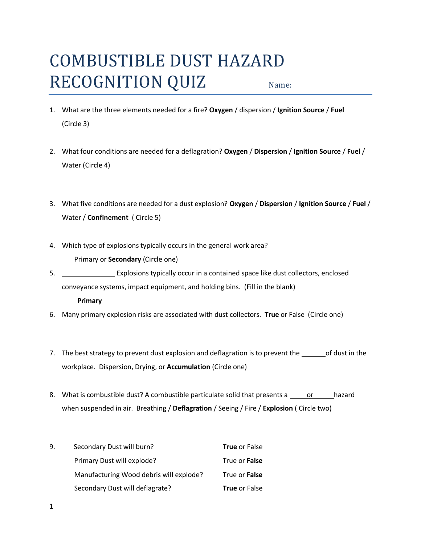## COMBUSTIBLE DUST HAZARD RECOGNITION QUIZ Name:

- 1. What are the three elements needed for a fire? **Oxygen** / dispersion / **Ignition Source** / **Fuel** (Circle 3)
- 2. What four conditions are needed for a deflagration? **Oxygen** / **Dispersion** / **Ignition Source** / **Fuel** / Water (Circle 4)
- 3. What five conditions are needed for a dust explosion? **Oxygen** / **Dispersion** / **Ignition Source** / **Fuel** / Water / **Confinement** ( Circle 5)
- 4. Which type of explosions typically occurs in the general work area? Primary or **Secondary** (Circle one)
- 5. Explosions typically occur in a contained space like dust collectors, enclosed conveyance systems, impact equipment, and holding bins. (Fill in the blank) **Primary**
- 6. Many primary explosion risks are associated with dust collectors. **True** or False (Circle one)
- 7. The best strategy to prevent dust explosion and deflagration is to prevent the \_\_\_\_\_\_\_ of dust in the workplace. Dispersion, Drying, or **Accumulation** (Circle one)
- 8. What is combustible dust? A combustible particulate solid that presents a same or thazard when suspended in air. Breathing / **Deflagration** / Seeing / Fire / **Explosion** ( Circle two)

| 9. | Secondary Dust will burn?               | <b>True or False</b> |
|----|-----------------------------------------|----------------------|
|    | Primary Dust will explode?              | True or <b>False</b> |
|    | Manufacturing Wood debris will explode? | True or <b>False</b> |
|    | Secondary Dust will deflagrate?         | <b>True</b> or False |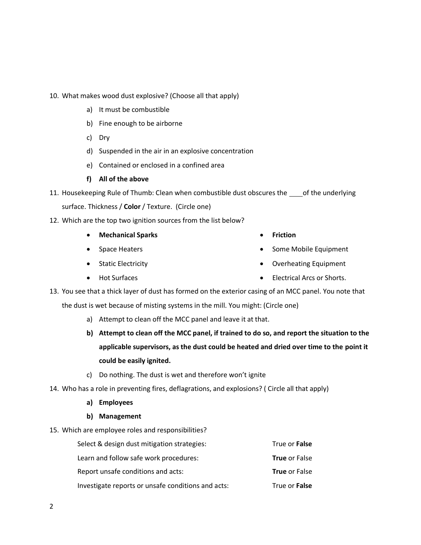- **b) Attempt to clean off the MCC panel, if trained to do so, and report the situation to the applicable supervisors, as the dust could be heated and dried over time to the point it** 
	- **could be easily ignited.**
	- c) Do nothing. The dust is wet and therefore won't ignite

the dust is wet because of misting systems in the mill. You might: (Circle one)

a) Attempt to clean off the MCC panel and leave it at that.

- 14. Who has a role in preventing fires, deflagrations, and explosions? ( Circle all that apply)
	- **a) Employees**
	- **b) Management**
- 15. Which are employee roles and responsibilities?

| Select & design dust mitigation strategies:        | True or False        |
|----------------------------------------------------|----------------------|
| Learn and follow safe work procedures:             | <b>True or False</b> |
| Report unsafe conditions and acts:                 | <b>True or False</b> |
| Investigate reports or unsafe conditions and acts: | True or False        |

- **•** Friction
	- Some Mobile Equipment
	- Overheating Equipment
	- Electrical Arcs or Shorts.
- surface. Thickness / **Color** / Texture. (Circle one)
- 12. Which are the top two ignition sources from the list below?

10. What makes wood dust explosive? (Choose all that apply)

d) Suspended in the air in an explosive concentration

11. Housekeeping Rule of Thumb: Clean when combustible dust obscures the same of the underlying

13. You see that a thick layer of dust has formed on the exterior casing of an MCC panel. You note that

e) Contained or enclosed in a confined area

a) It must be combustible

c) Dry

b) Fine enough to be airborne

**Mechanical Sparks**

**f) All of the above**

- Space Heaters
- Static Electricity
- Hot Surfaces

2